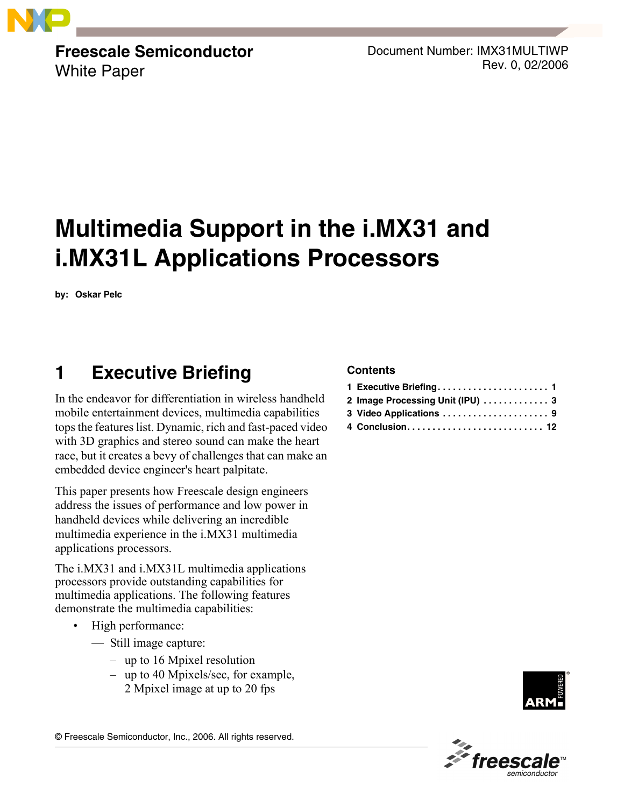

**Freescale Semiconductor** White Paper

Document Number: IMX31MULTIWP Rev. 0, 02/2006

# **Multimedia Support in the i.MX31 and i.MX31L Applications Processors**

**by: Oskar Pelc**

## **1 Executive Briefing**

In the endeavor for differentiation in wireless handheld mobile entertainment devices, multimedia capabilities tops the features list. Dynamic, rich and fast-paced video with 3D graphics and stereo sound can make the heart race, but it creates a bevy of challenges that can make an embedded device engineer's heart palpitate.

This paper presents how Freescale design engineers address the issues of performance and low power in handheld devices while delivering an incredible multimedia experience in the i.MX31 multimedia applications processors.

The i.MX31 and i.MX31L multimedia applications processors provide outstanding capabilities for multimedia applications. The following features demonstrate the multimedia capabilities:

- High performance:
	- $\equiv$  Still image capture:
		- $-$  up to 16 Mpixel resolution
		- $-$  up to 40 Mpixels/sec, for example, 2 Mpixel image at up to 20 fps

#### **Contents**

| 2 Image Processing Unit (IPU)  3 |
|----------------------------------|
|                                  |
|                                  |



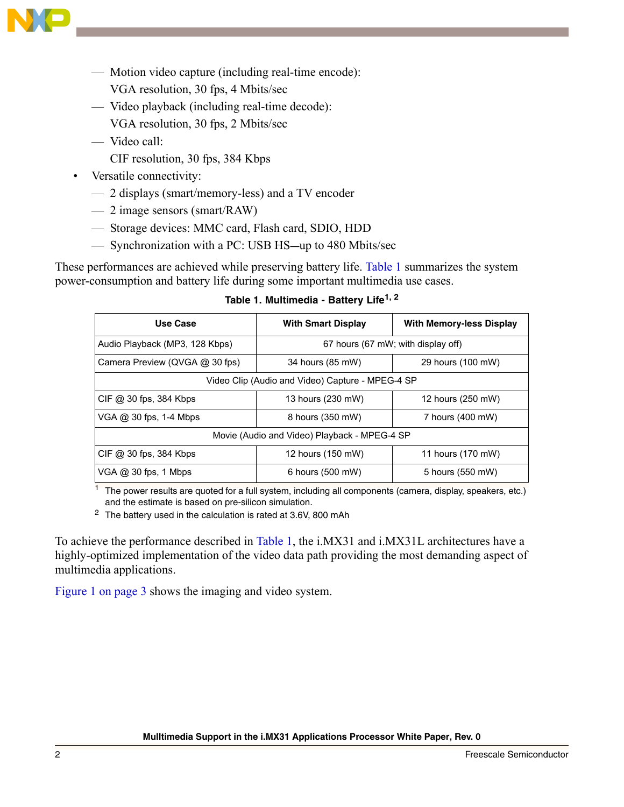

- $\overline{\phantom{a}}$  Motion video capture (including real-time encode):
	- VGA resolution, 30 fps, 4 Mbits/sec
- ó Video playback (including real-time decode):
	- VGA resolution, 30 fps, 2 Mbits/sec
- Video call:
	- CIF resolution, 30 fps, 384 Kbps

#### Versatile connectivity:

- $-$  2 displays (smart/memory-less) and a TV encoder
- $-2$  image sensors (smart/RAW)
- $-$  Storage devices: MMC card, Flash card, SDIO, HDD
- ó Synchronization with a PC: USB HS**—**up to 480 Mbits/sec

<span id="page-1-0"></span>These performances are achieved while preserving battery life. [Table 1](#page-1-0) summarizes the system power-consumption and battery life during some important multimedia use cases.

| Use Case                                         | <b>With Smart Display</b>                    | <b>With Memory-less Display</b> |  |  |  |  |
|--------------------------------------------------|----------------------------------------------|---------------------------------|--|--|--|--|
| Audio Playback (MP3, 128 Kbps)                   | 67 hours (67 mW; with display off)           |                                 |  |  |  |  |
| Camera Preview (QVGA @ 30 fps)                   | 34 hours (85 mW)                             | 29 hours (100 mW)               |  |  |  |  |
| Video Clip (Audio and Video) Capture - MPEG-4 SP |                                              |                                 |  |  |  |  |
| CIF @ 30 fps, 384 Kbps                           | 13 hours (230 mW)                            | 12 hours (250 mW)               |  |  |  |  |
| VGA @ 30 fps, 1-4 Mbps                           | 8 hours (350 mW)                             | 7 hours (400 mW)                |  |  |  |  |
|                                                  | Movie (Audio and Video) Playback - MPEG-4 SP |                                 |  |  |  |  |
| CIF @ 30 fps, 384 Kbps                           | 12 hours (150 mW)                            | 11 hours (170 mW)               |  |  |  |  |
| VGA @ 30 fps, 1 Mbps                             | 6 hours (500 mW)                             | 5 hours (550 mW)                |  |  |  |  |

**Table 1. Multimedia - Battery Life1, 2**

The power results are quoted for a full system, including all components (camera, display, speakers, etc.) and the estimate is based on pre-silicon simulation.

<sup>2</sup> The battery used in the calculation is rated at 3.6V, 800 mAh

To achieve the performance described in [Table 1](#page-1-0), the i.MX31 and i.MX31L architectures have a highly-optimized implementation of the video data path providing the most demanding aspect of multimedia applications.

[Figure 1 on page 3](#page-2-0) shows the imaging and video system.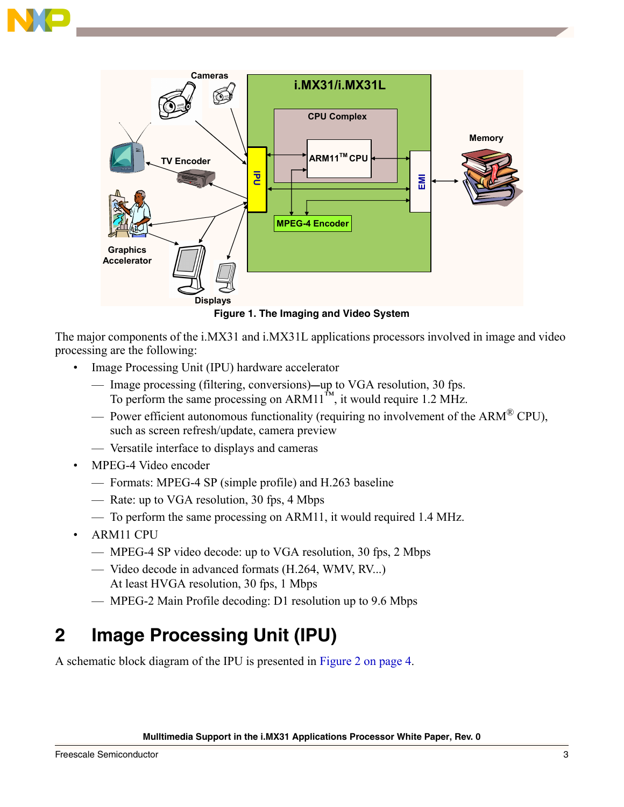



<span id="page-2-0"></span>The major components of the i.MX31 and i.MX31L applications processors involved in image and video processing are the following:

- Image Processing Unit (IPU) hardware accelerator
	- ó Image processing (filtering, conversions)**—**up to VGA resolution, 30 fps. To perform the same processing on  $ARM11^{m}$ , it would require 1.2 MHz.
	- $\sim$  Power efficient autonomous functionality (requiring no involvement of the ARM $^{\circledR}$  CPU), such as screen refresh/update, camera preview
	- ó Versatile interface to displays and cameras
- MPEG-4 Video encoder
	- ó Formats: MPEG-4 SP (simple profile) and H.263 baseline
	- ó Rate: up to VGA resolution, 30 fps, 4 Mbps
	- $\sim$  To perform the same processing on ARM11, it would required 1.4 MHz.
- ARM11 CPU
	- ó MPEG-4 SP video decode: up to VGA resolution, 30 fps, 2 Mbps
	- ó Video decode in advanced formats (H.264, WMV, RV...) At least HVGA resolution, 30 fps, 1 Mbps
	- ó MPEG-2 Main Profile decoding: D1 resolution up to 9.6 Mbps

## **2 Image Processing Unit (IPU)**

A schematic block diagram of the IPU is presented in [Figure 2 on page 4.](#page-3-0)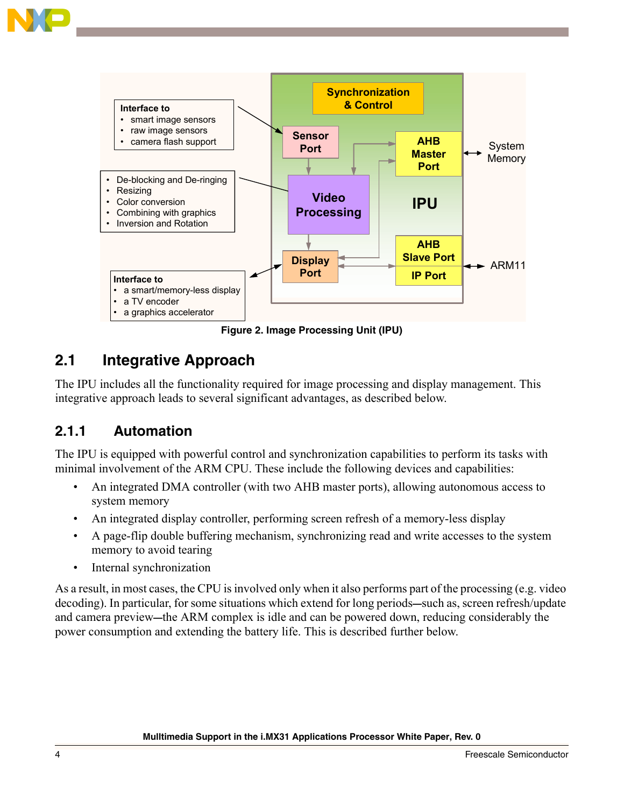

**Figure 2. Image Processing Unit (IPU)**

## <span id="page-3-0"></span>**2.1 Integrative Approach**

The IPU includes all the functionality required for image processing and display management. This integrative approach leads to several significant advantages, as described below.

#### **2.1.1 Automation**

The IPU is equipped with powerful control and synchronization capabilities to perform its tasks with minimal involvement of the ARM CPU. These include the following devices and capabilities:

- An integrated DMA controller (with two AHB master ports), allowing autonomous access to system memory
- An integrated display controller, performing screen refresh of a memory-less display
- A page-flip double buffering mechanism, synchronizing read and write accesses to the system memory to avoid tearing
- Internal synchronization

As a result, in most cases, the CPU is involved only when it also performs part of the processing (e.g. video decoding). In particular, for some situations which extend for long periods**—**such as, screen refresh/update and camera preview**—**the ARM complex is idle and can be powered down, reducing considerably the power consumption and extending the battery life. This is described further below.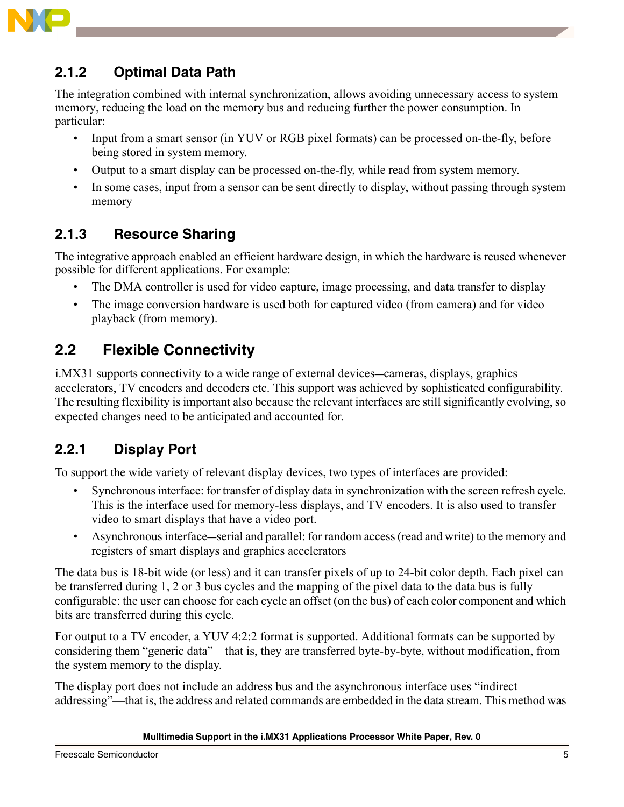

### **2.1.2 Optimal Data Path**

The integration combined with internal synchronization, allows avoiding unnecessary access to system memory, reducing the load on the memory bus and reducing further the power consumption. In particular:

- Input from a smart sensor (in YUV or RGB pixel formats) can be processed on-the-fly, before being stored in system memory.
- Output to a smart display can be processed on-the-fly, while read from system memory.
- In some cases, input from a sensor can be sent directly to display, without passing through system memory

### **2.1.3 Resource Sharing**

The integrative approach enabled an efficient hardware design, in which the hardware is reused whenever possible for different applications. For example:

- The DMA controller is used for video capture, image processing, and data transfer to display
- The image conversion hardware is used both for captured video (from camera) and for video playback (from memory).

## **2.2 Flexible Connectivity**

i.MX31 supports connectivity to a wide range of external devices**—**cameras, displays, graphics accelerators, TV encoders and decoders etc. This support was achieved by sophisticated configurability. The resulting flexibility is important also because the relevant interfaces are still significantly evolving, so expected changes need to be anticipated and accounted for.

### **2.2.1 Display Port**

To support the wide variety of relevant display devices, two types of interfaces are provided:

- Synchronous interface: for transfer of display data in synchronization with the screen refresh cycle. This is the interface used for memory-less displays, and TV encoders. It is also used to transfer video to smart displays that have a video port.
- ï Asynchronous interface**—**serial and parallel: for random access (read and write) to the memory and registers of smart displays and graphics accelerators

The data bus is 18-bit wide (or less) and it can transfer pixels of up to 24-bit color depth. Each pixel can be transferred during 1, 2 or 3 bus cycles and the mapping of the pixel data to the data bus is fully configurable: the user can choose for each cycle an offset (on the bus) of each color component and which bits are transferred during this cycle.

For output to a TV encoder, a YUV 4:2:2 format is supported. Additional formats can be supported by considering them "generic data"—that is, they are transferred byte-by-byte, without modification, from the system memory to the display.

The display port does not include an address bus and the asynchronous interface uses "indirect" addressing"—that is, the address and related commands are embedded in the data stream. This method was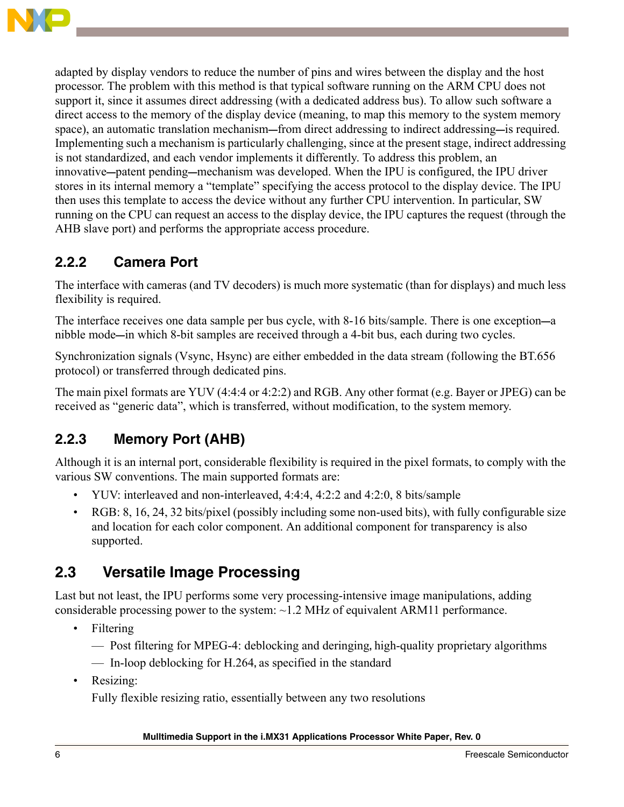

adapted by display vendors to reduce the number of pins and wires between the display and the host processor. The problem with this method is that typical software running on the ARM CPU does not support it, since it assumes direct addressing (with a dedicated address bus). To allow such software a direct access to the memory of the display device (meaning, to map this memory to the system memory space), an automatic translation mechanism**—**from direct addressing to indirect addressing**—**is required. Implementing such a mechanism is particularly challenging, since at the present stage, indirect addressing is not standardized, and each vendor implements it differently. To address this problem, an innovative**—**patent pending**—**mechanism was developed. When the IPU is configured, the IPU driver stores in its internal memory a "template" specifying the access protocol to the display device. The IPU then uses this template to access the device without any further CPU intervention. In particular, SW running on the CPU can request an access to the display device, the IPU captures the request (through the AHB slave port) and performs the appropriate access procedure.

#### **2.2.2 Camera Port**

The interface with cameras (and TV decoders) is much more systematic (than for displays) and much less flexibility is required.

The interface receives one data sample per bus cycle, with 8-16 bits/sample. There is one exception**—**a nibble mode**—**in which 8-bit samples are received through a 4-bit bus, each during two cycles.

Synchronization signals (Vsync, Hsync) are either embedded in the data stream (following the BT.656 protocol) or transferred through dedicated pins.

The main pixel formats are YUV (4:4:4 or 4:2:2) and RGB. Any other format (e.g. Bayer or JPEG) can be received as "generic data", which is transferred, without modification, to the system memory.

### **2.2.3 Memory Port (AHB)**

Although it is an internal port, considerable flexibility is required in the pixel formats, to comply with the various SW conventions. The main supported formats are:

- ï YUV: interleaved and non-interleaved, 4:4:4, 4:2:2 and 4:2:0, 8 bits/sample
- RGB: 8, 16, 24, 32 bits/pixel (possibly including some non-used bits), with fully configurable size and location for each color component. An additional component for transparency is also supported.

### **2.3 Versatile Image Processing**

Last but not least, the IPU performs some very processing-intensive image manipulations, adding considerable processing power to the system: ~1.2 MHz of equivalent ARM11 performance.

- Filtering
	- ó Post filtering for MPEG-4: deblocking and deringing**,** high-quality proprietary algorithms
	- ó In-loop deblocking for H.264**,** as specified in the standard
- Resizing:

Fully flexible resizing ratio, essentially between any two resolutions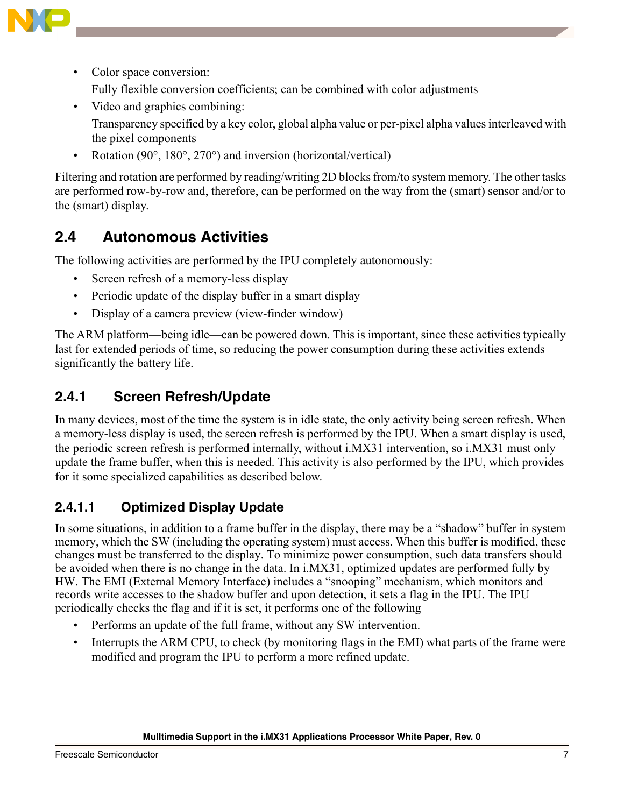

• Color space conversion:

Fully flexible conversion coefficients; can be combined with color adjustments

- Video and graphics combining: Transparency specified by a key color, global alpha value or per-pixel alpha values interleaved with the pixel components
- Rotation (90°, 180°, 270°) and inversion (horizontal/vertical)

Filtering and rotation are performed by reading/writing 2D blocks from/to system memory. The other tasks are performed row-by-row and, therefore, can be performed on the way from the (smart) sensor and/or to the (smart) display.

### **2.4 Autonomous Activities**

The following activities are performed by the IPU completely autonomously:

- Screen refresh of a memory-less display
- Periodic update of the display buffer in a smart display
- Display of a camera preview (view-finder window)

The ARM platform—being idle—can be powered down. This is important, since these activities typically last for extended periods of time, so reducing the power consumption during these activities extends significantly the battery life.

#### **2.4.1 Screen Refresh/Update**

In many devices, most of the time the system is in idle state, the only activity being screen refresh. When a memory-less display is used, the screen refresh is performed by the IPU. When a smart display is used, the periodic screen refresh is performed internally, without i.MX31 intervention, so i.MX31 must only update the frame buffer, when this is needed. This activity is also performed by the IPU, which provides for it some specialized capabilities as described below.

#### **2.4.1.1 Optimized Display Update**

In some situations, in addition to a frame buffer in the display, there may be a "shadow" buffer in system memory, which the SW (including the operating system) must access. When this buffer is modified, these changes must be transferred to the display. To minimize power consumption, such data transfers should be avoided when there is no change in the data. In i.MX31, optimized updates are performed fully by HW. The EMI (External Memory Interface) includes a "snooping" mechanism, which monitors and records write accesses to the shadow buffer and upon detection, it sets a flag in the IPU. The IPU periodically checks the flag and if it is set, it performs one of the following

- Performs an update of the full frame, without any SW intervention.
- Interrupts the ARM CPU, to check (by monitoring flags in the EMI) what parts of the frame were modified and program the IPU to perform a more refined update.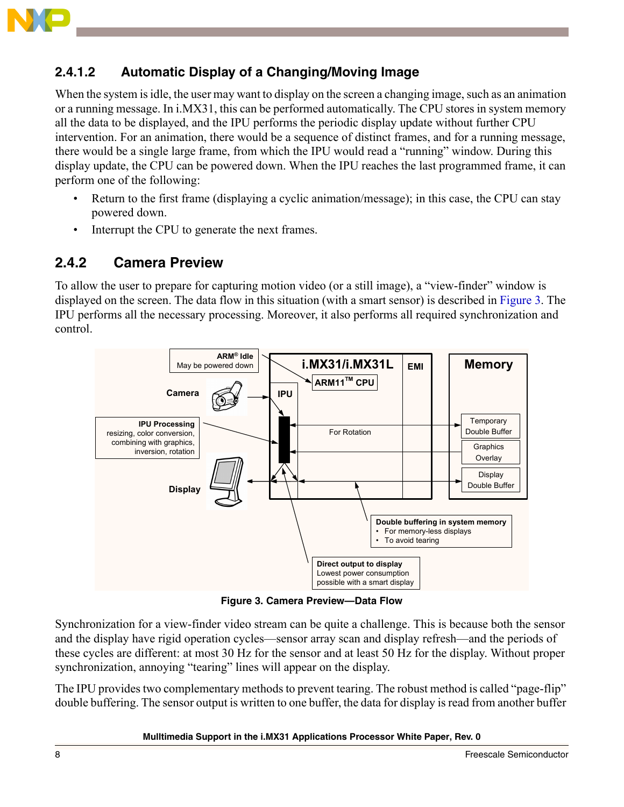

#### **2.4.1.2 Automatic Display of a Changing/Moving Image**

When the system is idle, the user may want to display on the screen a changing image, such as an animation or a running message. In i.MX31, this can be performed automatically. The CPU stores in system memory all the data to be displayed, and the IPU performs the periodic display update without further CPU intervention. For an animation, there would be a sequence of distinct frames, and for a running message, there would be a single large frame, from which the IPU would read a "running" window. During this display update, the CPU can be powered down. When the IPU reaches the last programmed frame, it can perform one of the following:

- Return to the first frame (displaying a cyclic animation/message); in this case, the CPU can stay powered down.
- Interrupt the CPU to generate the next frames.

#### **2.4.2 Camera Preview**

To allow the user to prepare for capturing motion video (or a still image), a "view-finder" window is displayed on the screen. The data flow in this situation (with a smart sensor) is described in [Figure 3.](#page-7-0) The IPU performs all the necessary processing. Moreover, it also performs all required synchronization and control.



**Figure 3. Camera Preview—Data Flow**

<span id="page-7-0"></span>Synchronization for a view-finder video stream can be quite a challenge. This is because both the sensor and the display have rigid operation cycles—sensor array scan and display refresh—and the periods of these cycles are different: at most 30 Hz for the sensor and at least 50 Hz for the display. Without proper synchronization, annoying "tearing" lines will appear on the display.

The IPU provides two complementary methods to prevent tearing. The robust method is called "page-flip" double buffering. The sensor output is written to one buffer, the data for display is read from another buffer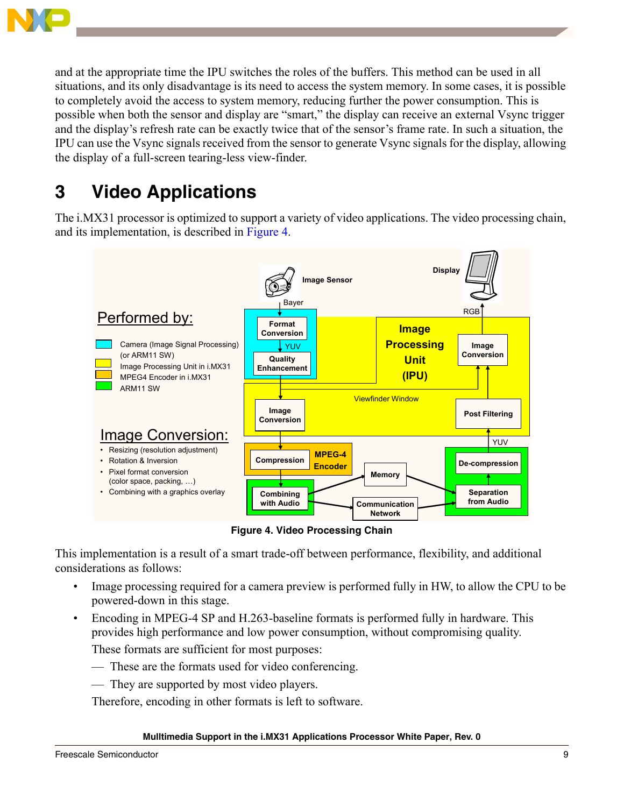

and at the appropriate time the IPU switches the roles of the buffers. This method can be used in all situations, and its only disadvantage is its need to access the system memory. In some cases, it is possible to completely avoid the access to system memory, reducing further the power consumption. This is possible when both the sensor and display are "smart," the display can receive an external Vsync trigger and the display's refresh rate can be exactly twice that of the sensor's frame rate. In such a situation, the IPU can use the Vsync signals received from the sensor to generate Vsync signals for the display, allowing the display of a full-screen tearing-less view-finder.

## **3 Video Applications**

The i.MX31 processor is optimized to support a variety of video applications. The video processing chain, and its implementation, is described in [Figure 4.](#page-8-0)



**Figure 4. Video Processing Chain**

<span id="page-8-0"></span>This implementation is a result of a smart trade-off between performance, flexibility, and additional considerations as follows:

- Image processing required for a camera preview is performed fully in HW, to allow the CPU to be powered-down in this stage.
- Encoding in MPEG-4 SP and H.263-baseline formats is performed fully in hardware. This provides high performance and low power consumption, without compromising quality. These formats are sufficient for most purposes:
	- $-$  These are the formats used for video conferencing.
	- $\overline{\phantom{a}}$  They are supported by most video players.

Therefore, encoding in other formats is left to software.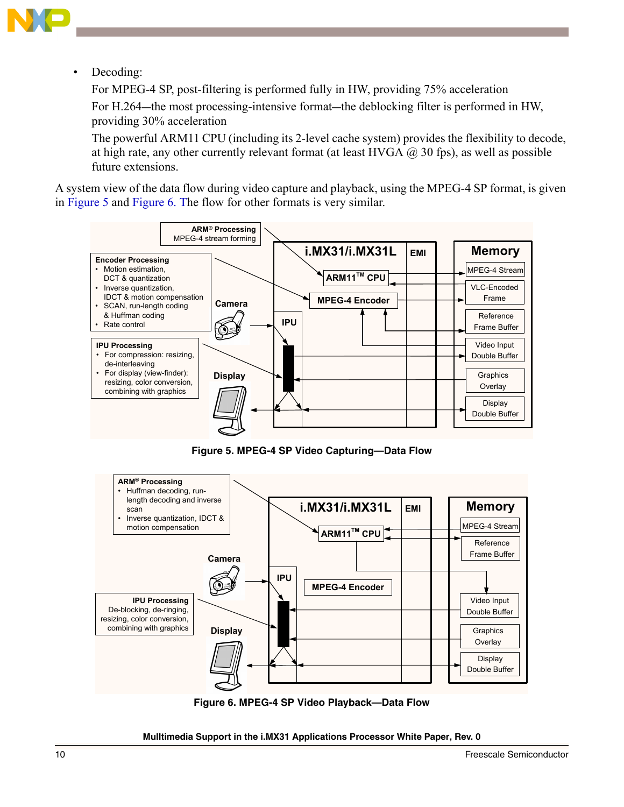

Decoding:

For MPEG-4 SP, post-filtering is performed fully in HW, providing 75% acceleration

For H.264**—**the most processing-intensive format**—**the deblocking filter is performed in HW, providing 30% acceleration

The powerful ARM11 CPU (including its 2-level cache system) provides the flexibility to decode, at high rate, any other currently relevant format (at least HVGA  $\omega$  30 fps), as well as possible future extensions.

A system view of the data flow during video capture and playback, using the MPEG-4 SP format, is given in [Figure 5](#page-9-0) and [Figure 6](#page-9-1). The flow for other formats is very similar.



**Figure 5. MPEG-4 SP Video Capturing—Data Flow**

<span id="page-9-0"></span>

<span id="page-9-1"></span>**Figure 6. MPEG-4 SP Video Playback—Data Flow**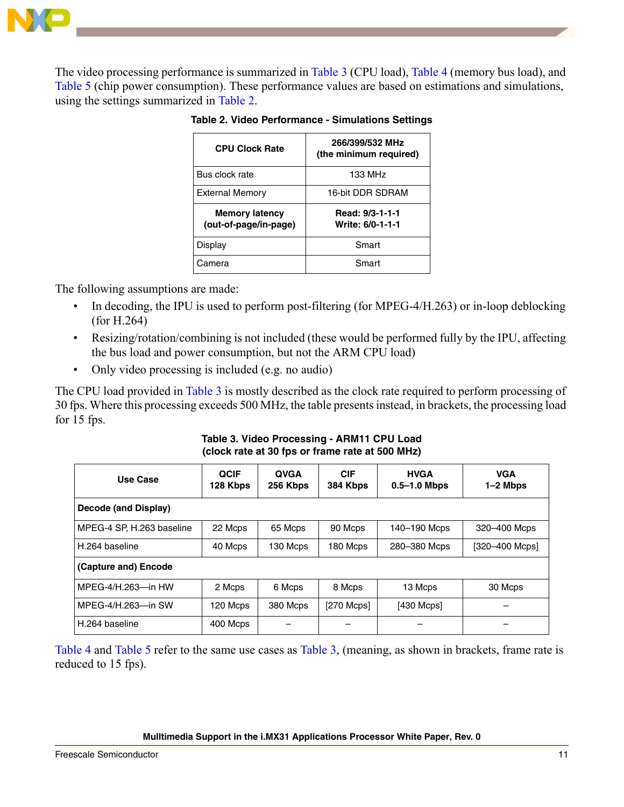

<span id="page-10-1"></span>The video processing performance is summarized in [Table 3](#page-10-0) (CPU load), [Table 4](#page-11-0) (memory bus load), and [Table 5](#page-11-1) (chip power consumption). These performance values are based on estimations and simulations, using the settings summarized in [Table 2.](#page-10-1)

| <b>CPU Clock Rate</b>                          | 266/399/532 MHz                     |  |  |  |
|------------------------------------------------|-------------------------------------|--|--|--|
|                                                | (the minimum required)              |  |  |  |
| Bus clock rate                                 | 133 MHz                             |  |  |  |
| <b>External Memory</b>                         | 16-bit DDR SDRAM                    |  |  |  |
| <b>Memory latency</b><br>(out-of-page/in-page) | Read: 9/3-1-1-1<br>Write: 6/0-1-1-1 |  |  |  |
| Display                                        | Smart                               |  |  |  |
| Camera                                         | Smart                               |  |  |  |

**Table 2. Video Performance - Simulations Settings** 

The following assumptions are made:

- In decoding, the IPU is used to perform post-filtering (for MPEG-4/H.263) or in-loop deblocking (for H.264)
- Resizing/rotation/combining is not included (these would be performed fully by the IPU, affecting the bus load and power consumption, but not the ARM CPU load)
- Only video processing is included (e.g. no audio)

The CPU load provided in [Table 3](#page-10-0) is mostly described as the clock rate required to perform processing of 30 fps. Where this processing exceeds 500 MHz, the table presents instead, in brackets, the processing load for 15 fps.

**Table 3. Video Processing - ARM11 CPU Load (clock rate at 30 fps or frame rate at 500 MHz)** 

<span id="page-10-0"></span>

| Use Case                  | <b>QCIF</b><br>128 Kbps | <b>QVGA</b><br>256 Kbps | <b>CIF</b><br>384 Kbps | <b>HVGA</b><br>$0.5 - 1.0$ Mbps | <b>VGA</b><br>1-2 Mbps |
|---------------------------|-------------------------|-------------------------|------------------------|---------------------------------|------------------------|
| Decode (and Display)      |                         |                         |                        |                                 |                        |
| MPEG-4 SP, H.263 baseline | 22 Mcps                 | 65 Mcps                 | 90 Mcps                | 140-190 Mcps                    | 320-400 Mcps           |
| H.264 baseline            | 40 Mcps                 | 130 Mcps                | 180 Mcps               | 280-380 Mcps                    | [320-400 Mcps]         |
| (Capture and) Encode      |                         |                         |                        |                                 |                        |
| MPEG-4/H.263-in HW        | 2 Mcps                  | 6 Mcps                  | 8 Mcps                 | 13 Mcps                         | 30 Mcps                |
| MPEG-4/H.263-in SW        | 120 Mcps                | 380 Mcps                | [270 Mcps]             | $[430$ Mcps $]$                 |                        |
| H.264 baseline            | 400 Mcps                |                         |                        |                                 |                        |

[Table 4](#page-11-0) and [Table 5](#page-11-1) refer to the same use cases as [Table 3](#page-10-0), (meaning, as shown in brackets, frame rate is reduced to 15 fps).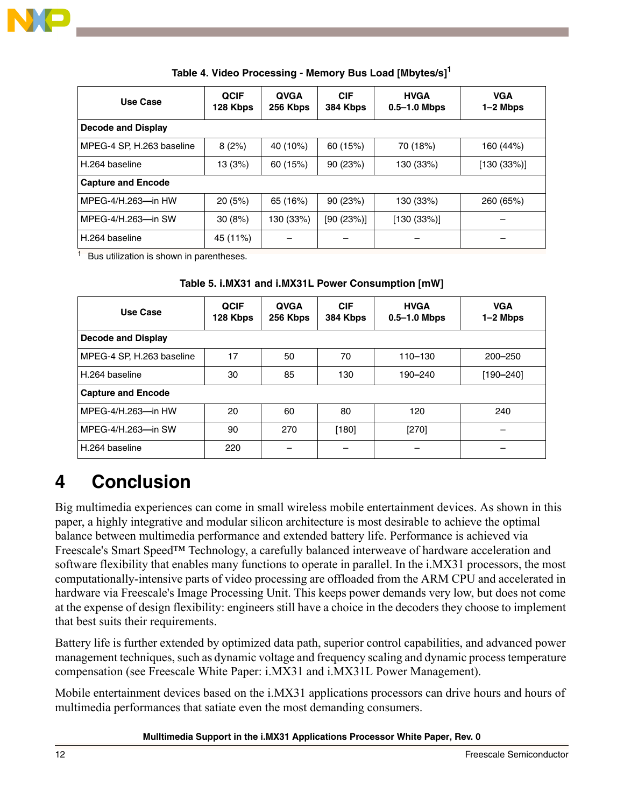

| Table 4. Video Processing - Memory Bus Load [Mbytes/s] <sup>1</sup> |  |  |  |  |  |  |  |
|---------------------------------------------------------------------|--|--|--|--|--|--|--|
|---------------------------------------------------------------------|--|--|--|--|--|--|--|

<span id="page-11-0"></span>

| <b>Use Case</b>           | <b>QCIF</b><br>128 Kbps | <b>QVGA</b><br>256 Kbps | <b>CIF</b><br>384 Kbps | <b>HVGA</b><br>$0.5 - 1.0$ Mbps | <b>VGA</b><br>$1-2$ Mbps |  |  |
|---------------------------|-------------------------|-------------------------|------------------------|---------------------------------|--------------------------|--|--|
| Decode and Display        |                         |                         |                        |                                 |                          |  |  |
| MPEG-4 SP, H.263 baseline | 8(2%)                   | 40 (10%)                | 60 (15%)               | 70 (18%)                        | 160 (44%)                |  |  |
| H.264 baseline            | 13 (3%)                 | 60 (15%)                | 90(23%)                | 130 (33%)                       | [130 (33%)]              |  |  |
| <b>Capture and Encode</b> |                         |                         |                        |                                 |                          |  |  |
| MPEG-4/H.263-in HW        | 20(5%)                  | 65 (16%)                | 90(23%)                | 130 (33%)                       | 260 (65%)                |  |  |
| MPEG-4/H.263-in SW        | 30(8%)                  | 130 (33%)               | [90 (23%)]             | [130 (33%)]                     |                          |  |  |
| H.264 baseline            | 45 (11%)                |                         |                        |                                 |                          |  |  |

 $1$  Bus utilization is shown in parentheses.

#### **Table 5. i.MX31 and i.MX31L Power Consumption [mW]**

<span id="page-11-1"></span>

| Use Case                  | <b>QCIF</b><br>128 Kbps | <b>QVGA</b><br>256 Kbps | <b>CIF</b><br>384 Kbps | <b>HVGA</b><br>$0.5 - 1.0$ Mbps | <b>VGA</b><br>1-2 Mbps |  |  |
|---------------------------|-------------------------|-------------------------|------------------------|---------------------------------|------------------------|--|--|
| <b>Decode and Display</b> |                         |                         |                        |                                 |                        |  |  |
| MPEG-4 SP, H.263 baseline | 17                      | 50                      | 70                     | 110-130                         | 200-250                |  |  |
| l H.264 baseline          | 30                      | 85                      | 130                    | 190-240                         | $[190 - 240]$          |  |  |
| <b>Capture and Encode</b> |                         |                         |                        |                                 |                        |  |  |
| l MPEG-4/H.263—in HW      | 20                      | 60                      | 80                     | 120                             | 240                    |  |  |
| l MPEG-4/H.263—in SW      | 90                      | 270                     | [180]                  | $[270]$                         |                        |  |  |
| l H.264 baseline          | 220                     |                         |                        |                                 |                        |  |  |

## **4 Conclusion**

Big multimedia experiences can come in small wireless mobile entertainment devices. As shown in this paper, a highly integrative and modular silicon architecture is most desirable to achieve the optimal balance between multimedia performance and extended battery life. Performance is achieved via Freescale's Smart Speed<sup>TM</sup> Technology, a carefully balanced interweave of hardware acceleration and software flexibility that enables many functions to operate in parallel. In the i.MX31 processors, the most computationally-intensive parts of video processing are offloaded from the ARM CPU and accelerated in hardware via Freescale's Image Processing Unit. This keeps power demands very low, but does not come at the expense of design flexibility: engineers still have a choice in the decoders they choose to implement that best suits their requirements.

Battery life is further extended by optimized data path, superior control capabilities, and advanced power management techniques, such as dynamic voltage and frequency scaling and dynamic process temperature compensation (see Freescale White Paper: i.MX31 and i.MX31L Power Management).

Mobile entertainment devices based on the i.MX31 applications processors can drive hours and hours of multimedia performances that satiate even the most demanding consumers.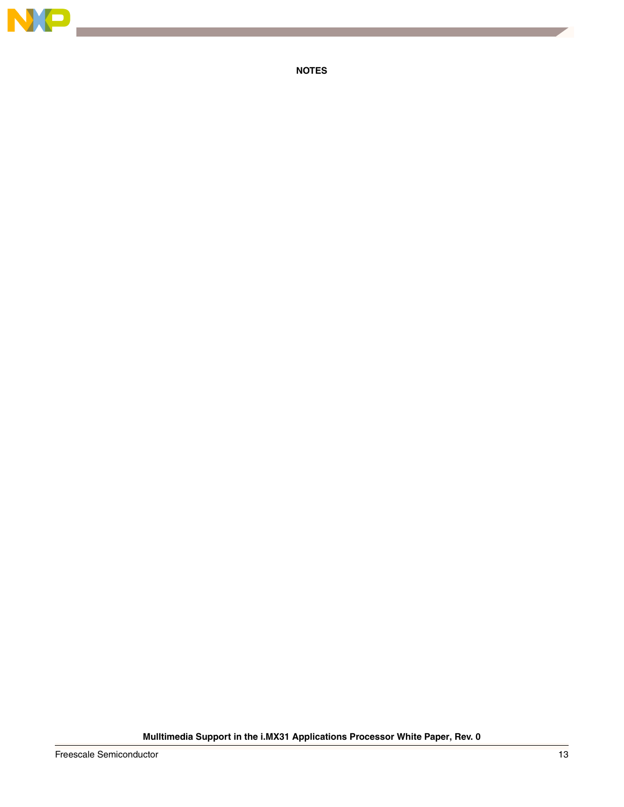

**NOTES**